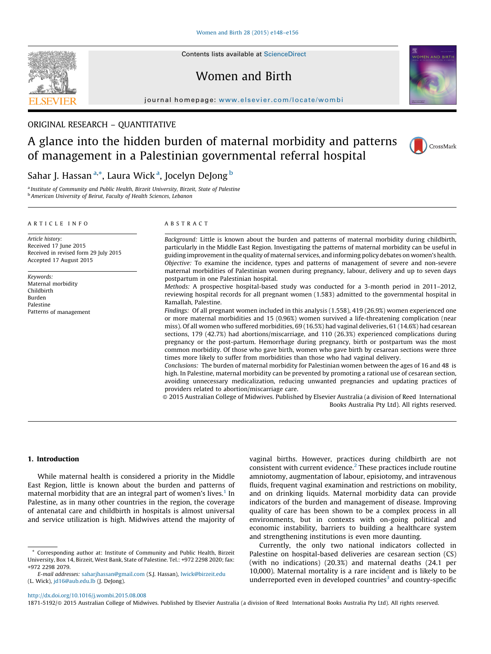Contents lists available at [ScienceDirect](http://www.sciencedirect.com/science/journal/18715192)

## Women and Birth

journal homepage: <www.elsevier.com/locate/wombi>

## ORIGINAL RESEARCH – QUANTITATIVE

# A glance into the hidden burden of maternal morbidity and patterns of management in a Palestinian governmental referral hospital



<sup>a</sup> Institute of Community and Public Health, Birzeit University, Birzeit, State of Palestine **b** American University of Beirut, Faculty of Health Sciences, Lebanon

#### A R T I C L E I N F O

Patterns of management

Received in revised form 29 July 2015 Accepted 17 August 2015

Article history: Received 17 June 2015

Keywords: Maternal morbidity Childbirth Burden Palestine

## A B S T R A C T

Background: Little is known about the burden and patterns of maternal morbidity during childbirth, particularly in the Middle East Region. Investigating the patterns of maternal morbidity can be useful in guiding improvementin the quality of maternal services, and informing policy debates on women's health. Objective: To examine the incidence, types and patterns of management of severe and non-severe maternal morbidities of Palestinian women during pregnancy, labour, delivery and up to seven days postpartum in one Palestinian hospital.

Methods: A prospective hospital-based study was conducted for a 3-month period in 2011–2012, reviewing hospital records for all pregnant women (1.583) admitted to the governmental hospital in Ramallah, Palestine.

Findings: Of all pregnant women included in this analysis (1.558), 419 (26.9%) women experienced one or more maternal morbidities and 15 (0.96%) women survived a life-threatening complication (near miss). Of all women who suffered morbidities, 69 (16.5%) had vaginal deliveries, 61 (14.6%) had cesarean sections, 179 (42.7%) had abortions/miscarriage, and 110 (26.3%) experienced complications during pregnancy or the post-partum. Hemorrhage during pregnancy, birth or postpartum was the most common morbidity. Of those who gave birth, women who gave birth by cesarean sections were three times more likely to suffer from morbidities than those who had vaginal delivery.

Conclusions: The burden of maternal morbidity for Palestinian women between the ages of 16 and 48 is high. In Palestine, maternal morbidity can be prevented by promoting a rational use of cesarean section, avoiding unnecessary medicalization, reducing unwanted pregnancies and updating practices of providers related to abortion/miscarriage care.

- 2015 Australian College of Midwives. Published by Elsevier Australia (a division of Reed International Books Australia Pty Ltd). All rights reserved.

#### 1. Introduction

While maternal health is considered a priority in the Middle East Region, little is known about the burden and patterns of maternal morbidity that are an integral part of women's lives.<sup>[1](#page-7-0)</sup> In Palestine, as in many other countries in the region, the coverage of antenatal care and childbirth in hospitals is almost universal and service utilization is high. Midwives attend the majority of

\* Corresponding author at: Institute of Community and Public Health, Birzeit University, Box 14, Birzeit, West Bank, State of Palestine. Tel.: +972 2298 2020; fax: +972 2298 2079.

vaginal births. However, practices during childbirth are not consistent with current evidence.<sup>[2](#page-7-0)</sup> These practices include routine amniotomy, augmentation of labour, episiotomy, and intravenous fluids, frequent vaginal examination and restrictions on mobility, and on drinking liquids. Maternal morbidity data can provide indicators of the burden and management of disease. Improving quality of care has been shown to be a complex process in all environments, but in contexts with on-going political and economic instability, barriers to building a healthcare system and strengthening institutions is even more daunting.

Currently, the only two national indicators collected in Palestine on hospital-based deliveries are cesarean section (CS) (with no indications) (20.3%) and maternal deaths (24.1 per 10,000). Maternal mortality is a rare incident and is likely to be underreported even in developed countries<sup>3</sup> and country-specific

<http://dx.doi.org/10.1016/j.wombi.2015.08.008>

1871-5192/@ 2015 Australian College of Midwives. Published by Elsevier Australia (a division of Reed International Books Australia Pty Ltd). All rights reserved.







E-mail addresses: [saharjhassan@gmail.com](mailto:saharjhassan@gmail.com) (S.J. Hassan), [lwick@birzeit.edu](mailto:lwick@birzeit.edu) (L. Wick), [jd16@aub.edu.lb](mailto:jd16@aub.edu.lb) (J. DeJong).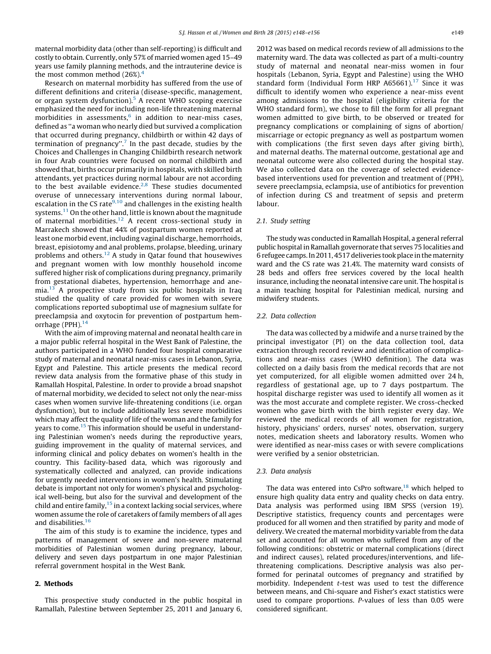maternal morbidity data (other than self-reporting) is difficult and costly to obtain. Currently, only 57% of married women aged 15–49 years use family planning methods, and the intrauterine device is the most common method  $(26%)^4$ 

Research on maternal morbidity has suffered from the use of different definitions and criteria (disease-specific, management, or organ system dysfunction).[5](#page-7-0) A recent WHO scoping exercise emphasized the need for including non-life threatening maternal morbidities in assessments, $6$  in addition to near-miss cases, defined as ''a woman who nearly died but survived a complication that occurred during pregnancy, childbirth or within 42 days of termination of pregnancy".<sup>[7](#page-7-0)</sup> In the past decade, studies by the Choices and Challenges in Changing Childbirth research network in four Arab countries were focused on normal childbirth and showed that, births occur primarily in hospitals, with skilled birth attendants, yet practices during normal labour are not according to the best available evidence.<sup>[2,8](#page-7-0)</sup> These studies documented overuse of unnecessary interventions during normal labour, escalation in the CS rate<sup>[9,10](#page-7-0)</sup> and challenges in the existing health systems. $11$  On the other hand, little is known about the magnitude of maternal morbidities.[12](#page-7-0) A recent cross-sectional study in Marrakech showed that 44% of postpartum women reported at least one morbid event, including vaginal discharge, hemorrhoids, breast, episiotomy and anal problems, prolapse, bleeding, urinary problems and others.[12](#page-7-0) A study in Qatar found that housewives and pregnant women with low monthly household income suffered higher risk of complications during pregnancy, primarily from gestational diabetes, hypertension, hemorrhage and anemia.[13](#page-7-0) A prospective study from six public hospitals in Iraq studied the quality of care provided for women with severe complications reported suboptimal use of magnesium sulfate for preeclampsia and oxytocin for prevention of postpartum hemorrhage (PPH). $^{14}$  $^{14}$  $^{14}$ 

With the aim of improving maternal and neonatal health care in a major public referral hospital in the West Bank of Palestine, the authors participated in a WHO funded four hospital comparative study of maternal and neonatal near-miss cases in Lebanon, Syria, Egypt and Palestine. This article presents the medical record review data analysis from the formative phase of this study in Ramallah Hospital, Palestine. In order to provide a broad snapshot of maternal morbidity, we decided to select not only the near-miss cases when women survive life-threatening conditions (i.e. organ dysfunction), but to include additionally less severe morbidities which may affect the quality of life of the woman and the family for years to come.<sup>[15](#page-7-0)</sup> This information should be useful in understanding Palestinian women's needs during the reproductive years, guiding improvement in the quality of maternal services, and informing clinical and policy debates on women's health in the country. This facility-based data, which was rigorously and systematically collected and analyzed, can provide indications for urgently needed interventions in women's health. Stimulating debate is important not only for women's physical and psychological well-being, but also for the survival and development of the child and entire family, $15$  in a context lacking social services, where women assume the role of caretakers of family members of all ages and disabilities.[16](#page-7-0)

The aim of this study is to examine the incidence, types and patterns of management of severe and non-severe maternal morbidities of Palestinian women during pregnancy, labour, delivery and seven days postpartum in one major Palestinian referral government hospital in the West Bank.

## 2. Methods

This prospective study conducted in the public hospital in Ramallah, Palestine between September 25, 2011 and January 6, 2012 was based on medical records review of all admissions to the maternity ward. The data was collected as part of a multi-country study of maternal and neonatal near-miss women in four hospitals (Lebanon, Syria, Egypt and Palestine) using the WHO standard form (Individual Form HRP  $A65661$ ).<sup>[17](#page-7-0)</sup> Since it was difficult to identify women who experience a near-miss event among admissions to the hospital (eligibility criteria for the WHO standard form), we chose to fill the form for all pregnant women admitted to give birth, to be observed or treated for pregnancy complications or complaining of signs of abortion/ miscarriage or ectopic pregnancy as well as postpartum women with complications (the first seven days after giving birth), and maternal deaths. The maternal outcome, gestational age and neonatal outcome were also collected during the hospital stay. We also collected data on the coverage of selected evidencebased interventions used for prevention and treatment of (PPH), severe preeclampsia, eclampsia, use of antibiotics for prevention of infection during CS and treatment of sepsis and preterm labour.

## 2.1. Study setting

The study was conducted in Ramallah Hospital, a general referral public hospital in Ramallah governorate that serves 75 localities and 6 refugee camps.In2011, 4517 deliveries took place inthematernity ward and the CS rate was 21.4%. The maternity ward consists of 28 beds and offers free services covered by the local health insurance, including the neonatal intensive care unit. The hospital is a main teaching hospital for Palestinian medical, nursing and midwifery students.

#### 2.2. Data collection

The data was collected by a midwife and a nurse trained by the principal investigator (PI) on the data collection tool, data extraction through record review and identification of complications and near-miss cases (WHO definition). The data was collected on a daily basis from the medical records that are not yet computerized, for all eligible women admitted over 24 h, regardless of gestational age, up to 7 days postpartum. The hospital discharge register was used to identify all women as it was the most accurate and complete register. We cross-checked women who gave birth with the birth register every day. We reviewed the medical records of all women for registration, history, physicians' orders, nurses' notes, observation, surgery notes, medication sheets and laboratory results. Women who were identified as near-miss cases or with severe complications were verified by a senior obstetrician.

#### 2.3. Data analysis

The data was entered into CsPro software, $18$  which helped to ensure high quality data entry and quality checks on data entry. Data analysis was performed using IBM SPSS (version 19). Descriptive statistics, frequency counts and percentages were produced for all women and then stratified by parity and mode of delivery. We created the maternal morbidity variable from the data set and accounted for all women who suffered from any of the following conditions: obstetric or maternal complications (direct and indirect causes), related procedures/interventions, and lifethreatening complications. Descriptive analysis was also performed for perinatal outcomes of pregnancy and stratified by morbidity. Independent t-test was used to test the difference between means, and Chi-square and Fisher's exact statistics were used to compare proportions. P-values of less than 0.05 were considered significant.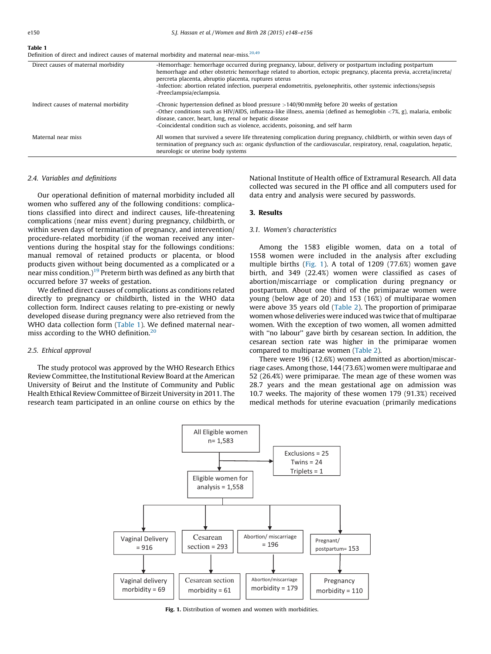|                                       | Definition of direct and indirect causes of maternal morbidity and maternal near-miss. $20,49$                                                                                                                                                                                                                                                                                   |  |  |
|---------------------------------------|----------------------------------------------------------------------------------------------------------------------------------------------------------------------------------------------------------------------------------------------------------------------------------------------------------------------------------------------------------------------------------|--|--|
| Direct causes of maternal morbidity   | -Hemorrhage: hemorrhage occurred during pregnancy, labour, delivery or postpartum including postpartum<br>hemorrhage and other obstetric hemorrhage related to abortion, ectopic pregnancy, placenta previa, accreta/increta/<br>percreta placenta, abruptio placenta, ruptures uterus                                                                                           |  |  |
|                                       | -Infection: abortion related infection, puerperal endometritis, pyelonephritis, other systemic infections/sepsis<br>-Preeclampsia/eclampsia.                                                                                                                                                                                                                                     |  |  |
| Indirect causes of maternal morbidity | -Chronic hypertension defined as blood pressure $>140/90$ mmHg before 20 weeks of gestation<br>-Other conditions such as HIV/AIDS, influenza-like illness, anemia (defined as hemoglobin $\langle 7\% , g \rangle$ , malaria, embolic<br>disease, cancer, heart, lung, renal or hepatic disease<br>-Coincidental condition such as violence, accidents, poisoning, and self harm |  |  |
| Maternal near miss                    | All women that survived a severe life threatening complication during pregnancy, childbirth, or within seven days of<br>termination of pregnancy such as: organic dysfunction of the cardiovascular, respiratory, renal, coagulation, hepatic,<br>neurologic or uterine body systems                                                                                             |  |  |

#### 2.4. Variables and definitions

Our operational definition of maternal morbidity included all women who suffered any of the following conditions: complications classified into direct and indirect causes, life-threatening complications (near miss event) during pregnancy, childbirth, or within seven days of termination of pregnancy, and intervention/ procedure-related morbidity (if the woman received any interventions during the hospital stay for the followings conditions: manual removal of retained products or placenta, or blood products given without being documented as a complicated or a near miss condition.)<sup>[19](#page-7-0)</sup> Preterm birth was defined as any birth that occurred before 37 weeks of gestation.

We defined direct causes of complications as conditions related directly to pregnancy or childbirth, listed in the WHO data collection form. Indirect causes relating to pre-existing or newly developed disease during pregnancy were also retrieved from the WHO data collection form (Table 1). We defined maternal near-miss according to the WHO definition.<sup>[20](#page-7-0)</sup>

#### 2.5. Ethical approval

The study protocol was approved by the WHO Research Ethics Review Committee, the Institutional Review Board at the American University of Beirut and the Institute of Community and Public Health Ethical Review Committee of Birzeit University in 2011. The research team participated in an online course on ethics by the National Institute of Health office of Extramural Research. All data collected was secured in the PI office and all computers used for data entry and analysis were secured by passwords.

#### 3. Results

## 3.1. Women's characteristics

Among the 1583 eligible women, data on a total of 1558 women were included in the analysis after excluding multiple births (Fig. 1). A total of 1209 (77.6%) women gave birth, and 349 (22.4%) women were classified as cases of abortion/miscarriage or complication during pregnancy or postpartum. About one third of the primiparae women were young (below age of 20) and 153 (16%) of multiparae women were above 35 years old ([Table](#page-3-0) 2). The proportion of primiparae women whose deliveries were induced was twice that of multiparae women. With the exception of two women, all women admitted with ''no labour'' gave birth by cesarean section. In addition, the cesarean section rate was higher in the primiparae women compared to multiparae women ([Table](#page-3-0) 2).

There were 196 (12.6%) women admitted as abortion/miscarriage cases. Among those, 144 (73.6%) women were multiparae and 52 (26.4%) were primiparae. The mean age of these women was 28.7 years and the mean gestational age on admission was 10.7 weeks. The majority of these women 179 (91.3%) received medical methods for uterine evacuation (primarily medications



Fig. 1. Distribution of women and women with morbidities.

## <span id="page-2-0"></span>Table 1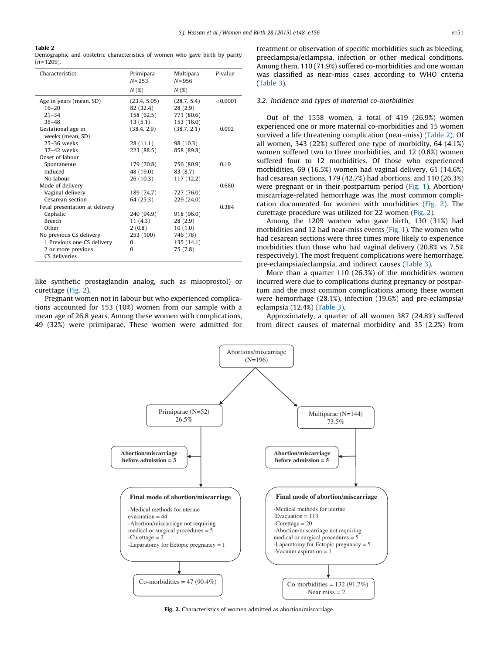#### <span id="page-3-0"></span>Table 2

Demographic and obstetric characteristics of women who gave birth by parity  $(n = 1209)$ 

| Characteristics                | Primipara<br>$N = 253$ | Multipara<br>$N = 956$ | P-value     |
|--------------------------------|------------------------|------------------------|-------------|
|                                | N(%)                   | N(%)                   |             |
| Age in years (mean, SD)        | (23.4, 5.05)           | (28.7, 5.4)            | ${<}0.0001$ |
| $16 - 20$                      | 82 (32.4)              | 28(2.9)                |             |
| $21 - 34$                      | 158 (62.5)             | 771 (80.6)             |             |
| $35 - 48$                      | 13(5.1)                | 153 (16.0)             |             |
| Gestational age in             | (38.4, 2.9)            | (38.7, 2.1)            | 0.092       |
| weeks (mean, SD)               |                        |                        |             |
| $25-36$ weeks                  | 28 (11.1)              | 98 (10.3)              |             |
| 37-42 weeks                    | 223 (88.5)             | 858 (89.8)             |             |
| Onset of labour                |                        |                        |             |
| Spontaneous                    | 179 (70.8)             | 756 (80.9)             | 0.19        |
| Induced                        | 48 (19.0)              | 83 (8.7)               |             |
| No labour                      | 26(10.3)               | 117 (12.2)             |             |
| Mode of delivery               |                        |                        | 0.680       |
| Vaginal delivery               | 189 (74.7)             | 727 (76.0)             |             |
| Cesarean section               | 64 (25.3)              | 229 (24.0)             |             |
| Fetal presentation at delivery |                        |                        | 0.384       |
| Cephalic                       | 240 (94.9)             | 918 (96.0)             |             |
| <b>Breech</b>                  | 11(4.3)                | 28(2.9)                |             |
| Other                          | 2(0.8)                 | 10(1.0)                |             |
| No previous CS delivery        | 253 (100)              | 746 (78)               |             |
| 1 Previous one CS delivery     | $\Omega$               | 135 (14.1)             |             |
| 2 or more previous             | $\Omega$               | 75 (7.8)               |             |
| CS deliveries                  |                        |                        |             |
|                                |                        |                        |             |

like synthetic prostaglandin analog, such as misoprostol) or curettage (Fig. 2).

Pregnant women not in labour but who experienced complications accounted for 153 (10%) women from our sample with a mean age of 26.8 years. Among these women with complications, 49 (32%) were primiparae. These women were admitted for treatment or observation of specific morbidities such as bleeding, preeclampsia/eclampsia, infection or other medical conditions. Among them, 110 (71.9%) suffered co-morbidities and one woman was classified as near-miss cases according to WHO criteria ([Table](#page-4-0) 3).

### 3.2. Incidence and types of maternal co-morbidities

Out of the 1558 women, a total of 419 (26.9%) women experienced one or more maternal co-morbidities and 15 women survived a life threatening complication (near-miss) (Table 2). Of all women, 343 (22%) suffered one type of morbidity, 64 (4.1%) women suffered two to three morbidities, and 12 (0.8%) women suffered four to 12 morbidities. Of those who experienced morbidities, 69 (16.5%) women had vaginal delivery, 61 (14.6%) had cesarean sections, 179 (42.7%) had abortions, and 110 (26.3%) were pregnant or in their postpartum period [\(Fig.](#page-2-0) 1). Abortion/ miscarriage-related hemorrhage was the most common complication documented for women with morbidities (Fig. 2). The curettage procedure was utilized for 22 women (Fig. 2).

Among the 1209 women who gave birth, 130 (31%) had morbidities and 12 had near-miss events ([Fig.](#page-2-0) 1). The women who had cesarean sections were three times more likely to experience morbidities than those who had vaginal delivery (20.8% vs 7.5% respectively). The most frequent complications were hemorrhage, pre-eclampsia/eclampsia, and indirect causes ([Table](#page-4-0) 3).

More than a quarter 110 (26.3%) of the morbidities women incurred were due to complications during pregnancy or postpartum and the most common complications among these women were hemorrhage (28.1%), infection (19.6%) and pre-eclampsia/ eclampsia (12.4%) [\(Table](#page-4-0) 3).

Approximately, a quarter of all women 387 (24.8%) suffered from direct causes of maternal morbidity and 35 (2.2%) from



Fig. 2. Characteristics of women admitted as abortion/miscarriage.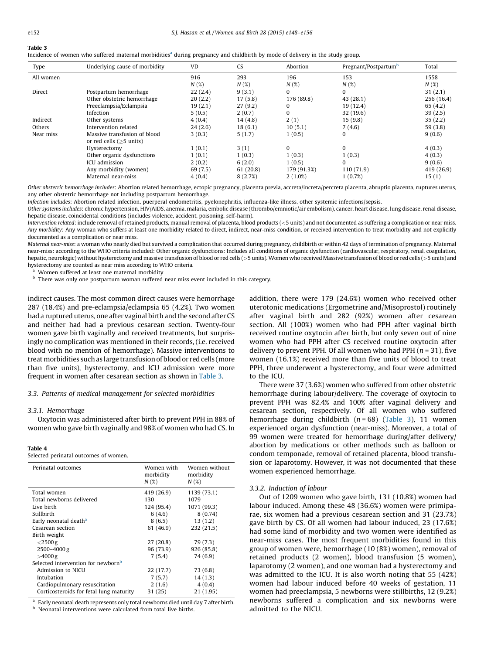<span id="page-4-0"></span>

| $\sim$ | ۰.<br>$\sim$ |  |
|--------|--------------|--|
|        |              |  |

| . . | $\sim$ |
|-----|--------|
|     |        |

| Type      | Underlying cause of morbidity | VD       | <b>CS</b> | Abortion    | Pregnant/Postpartum <sup>b</sup> | Total      |
|-----------|-------------------------------|----------|-----------|-------------|----------------------------------|------------|
| All women |                               | 916      | 293       | 196         | 153                              | 1558       |
|           |                               | N(%)     | N(%)      | N(%)        | N(%)                             | N(%)       |
| Direct    | Postpartum hemorrhage         | 22(2.4)  | 9(3.1)    | 0           | 0                                | 31(2.1)    |
|           | Other obstetric hemorrhage    | 20(2.2)  | 17(5.8)   | 176 (89.8)  | 43(28.1)                         | 256 (16.4) |
|           | Preeclampsia/Eclampsia        | 19(2.1)  | 27(9.2)   | 0           | 19(12.4)                         | 65(4.2)    |
|           | Infection                     | 5(0.5)   | 2(0.7)    | $\Omega$    | 32 (19.6)                        | 39(2.5)    |
| Indirect  | Other systems                 | 4(0.4)   | 14(4.8)   | 2(1)        | 15(9.8)                          | 35(2.2)    |
| Others    | Intervention related          | 24(2.6)  | 18(6.1)   | 10(5.1)     | 7(4.6)                           | 59(3.8)    |
| Near miss | Massive transfusion of blood  | 3(0.3)   | 5(1.7)    | 1(0.5)      | 0                                | 9(0.6)     |
|           | or red cells $($ >5 units)    |          |           |             |                                  |            |
|           | Hysterectomy                  | 1(0.1)   | 3(1)      | $\Omega$    | 0                                | 4(0.3)     |
|           | Other organic dysfunctions    | 1(0.1)   | 1(0.3)    | 1(0.3)      | 1(0.3)                           | 4(0.3)     |
|           | ICU admission                 | 2(0.2)   | 6(2.0)    | 1(0.5)      | 0                                | 9(0.6)     |
|           | Any morbidity (women)         | 69 (7.5) | 61(20.8)  | 179 (91.3%) | 110 (71.9)                       | 419 (26.9) |
|           | Maternal near-miss            | 4(0.4)   | 8(2.7%)   | $2(1.0\%)$  | 1(0.7%)                          | 15(1)      |

Other obstetric hemorrhage includes: Abortion related hemorrhage, ectopic pregnancy, placenta previa, accreta/increta/percreta placenta, abruptio placenta, ruptures uterus, any other obstetric hemorrhage not including postpartum hemorrhage.

Infection includes: Abortion related infection, puerperal endometritis, pyelonephritis, influenza-like illness, other systemic infections/sepsis.

Other systems includes: chronic hypertension, HIV/AIDS, anemia, malaria, embolic disease (thrombo/emniotic/air embolism), cancer, heart disease, lung disease, renal disease, hepatic disease, coincidental conditions (includes violence, accident, poisoning, self-harm).

Intervention related: include removal of retained products, manual removal of placenta, blood products (<5 units) and not documented as suffering a complication or near miss. Any morbidity: Any woman who suffers at least one morbidity related to direct, indirect, near-miss condition, or received intervention to treat morbidity and not explicitly documented as a complication or near miss.

Maternal near-miss: a woman who nearly died but survived a complication that occurred during pregnancy, childbirth or within 42 days of termination of pregnancy. Maternal near-miss: according to the WHO criteria included: Other organic dysfunctions: Includes all conditions of organic dysfunction (cardiovascular, respiratory, renal, coagulation, hepatic, neurologic) without hysterectomy and massive transfusion of blood or red cells (>5 units). Women who received Massive transfusion of blood or red cells (>5 units) and hysterectomy are counted as near miss according to WHO criteria.

Women suffered at least one maternal morbidity

b There was only one postpartum woman suffered near miss event included in this category.

indirect causes. The most common direct causes were hemorrhage 287 (18.4%) and pre-eclampsia/eclampsia 65 (4.2%). Two women had a ruptured uterus, one after vaginal birth and the second after CS and neither had had a previous cesarean section. Twenty-four women gave birth vaginally and received treatments, but surprisingly no complication was mentioned in their records, (i.e. received blood with no mention of hemorrhage). Massive interventions to treat morbidities such as large transfusionof blood or red cells (more than five units), hysterectomy, and ICU admission were more frequent in women after cesarean section as shown in Table 3.

#### 3.3. Patterns of medical management for selected morbidities

#### 3.3.1. Hemorrhage

Oxytocin was administered after birth to prevent PPH in 88% of women who gave birth vaginally and 98% of women who had CS. In

#### Table 4

Selected perinatal outcomes of women.

| Perinatal outcomes                             | Women with<br>morbidity<br>N(%) | Women without<br>morbidity<br>N(%) |
|------------------------------------------------|---------------------------------|------------------------------------|
| Total women                                    | 419 (26.9)                      | 1139 (73.1)                        |
| Total newborns delivered                       | 130                             | 1079                               |
| Live birth                                     | 124 (95.4)                      | 1071 (99.3)                        |
| Stillbirth                                     | 6(4.6)                          | 8(0.74)                            |
| Early neonatal death <sup>a</sup>              | 8(6.5)                          | 13(1.2)                            |
| Cesarean section                               | 61 (46.9)                       | 232 (21.5)                         |
| Birth weight                                   |                                 |                                    |
| $<$ 2500 g                                     | 27(20.8)                        | 79 (7.3)                           |
| 2500-4000 g                                    | 96 (73.9)                       | 926 (85.8)                         |
| >4000 g                                        | 7(5.4)                          | 74 (6.9)                           |
| Selected intervention for newborn <sup>b</sup> |                                 |                                    |
| Admission to NICU                              | 22 (17.7)                       | 73 (6.8)                           |
| Intubation                                     | 7(5.7)                          | 14 (1.3)                           |
| Cardiopulmonary resuscitation                  | 2(1.6)                          | 4(0.4)                             |
| Corticosteroids for fetal lung maturity        | 31 (25)                         | 21 (1.95)                          |

<sup>a</sup> Early neonatal death represents only total newborns died until day 7 after birth. **b** Neonatal interventions were calculated from total live births.

addition, there were 179 (24.6%) women who received other uterotonic medications (Ergometrine and/Misoprostol) routinely after vaginal birth and 282 (92%) women after cesarean section. All (100%) women who had PPH after vaginal birth received routine oxytocin after birth, but only seven out of nine women who had PPH after CS received routine oxytocin after delivery to prevent PPH. Of all women who had PPH  $(n = 31)$ , five women (16.1%) received more than five units of blood to treat PPH, three underwent a hysterectomy, and four were admitted to the ICU.

There were 37 (3.6%) women who suffered from other obstetric hemorrhage during labour/delivery. The coverage of oxytocin to prevent PPH was 82.4% and 100% after vaginal delivery and cesarean section, respectively. Of all women who suffered hemorrhage during childbirth  $(n = 68)$  (Table 3), 11 women experienced organ dysfunction (near-miss). Moreover, a total of 99 women were treated for hemorrhage during/after delivery/ abortion by medications or other methods such as balloon or condom temponade, removal of retained placenta, blood transfusion or laparotomy. However, it was not documented that these women experienced hemorrhage.

#### 3.3.2. Induction of labour

Out of 1209 women who gave birth, 131 (10.8%) women had labour induced. Among these 48 (36.6%) women were primiparae, six women had a previous cesarean section and 31 (23.7%) gave birth by CS. Of all women had labour induced, 23 (17.6%) had some kind of morbidity and two women were identified as near-miss cases. The most frequent morbidities found in this group of women were, hemorrhage (10 (8%) women), removal of retained products (2 women), blood transfusion (5 women), laparotomy (2 women), and one woman had a hysterectomy and was admitted to the ICU. It is also worth noting that 55 (42%) women had labour induced before 40 weeks of gestation, 11 women had preeclampsia, 5 newborns were stillbirths, 12 (9.2%) newborns suffered a complication and six newborns were admitted to the NICU.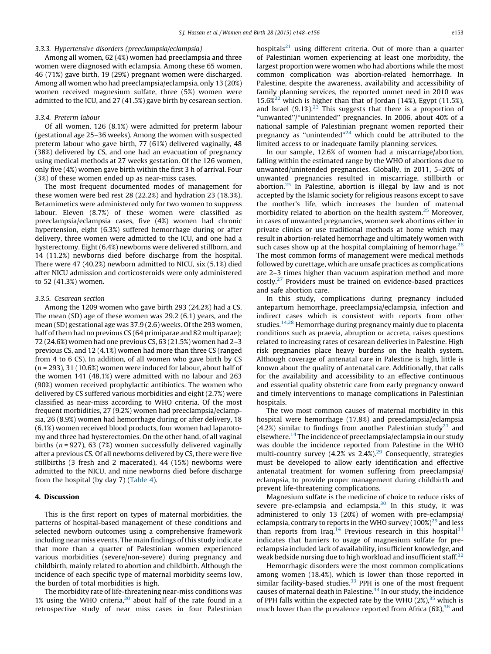## 3.3.3. Hypertensive disorders (preeclampsia/eclampsia)

Among all women, 62 (4%) women had preeclampsia and three women were diagnosed with eclampsia. Among these 65 women, 46 (71%) gave birth, 19 (29%) pregnant women were discharged. Among all women who had preeclampsia/eclampsia, only 13 (20%) women received magnesium sulfate, three (5%) women were admitted to the ICU, and 27 (41.5%) gave birth by cesarean section.

#### 3.3.4. Preterm labour

Of all women, 126 (8.1%) were admitted for preterm labour (gestational age 25–36 weeks). Among the women with suspected preterm labour who gave birth, 77 (61%) delivered vaginally, 48 (38%) delivered by CS, and one had an evacuation of pregnancy using medical methods at 27 weeks gestation. Of the 126 women, only five (4%) women gave birth within the first 3 h of arrival. Four (3%) of these women ended up as near-miss cases.

The most frequent documented modes of management for these women were bed rest 28 (22.2%) and hydration 23 (18.3%). Betamimetics were administered only for two women to suppress labour. Eleven (8.7%) of these women were classified as preeclampsia/eclampsia cases, five (4%) women had chronic hypertension, eight (6.3%) suffered hemorrhage during or after delivery, three women were admitted to the ICU, and one had a hysterectomy. Eight (6.4%) newborns were delivered stillborn, and 14 (11.2%) newborns died before discharge from the hospital. There were 47 (40.2%) newborn admitted to NICU, six (5.1%) died after NICU admission and corticosteroids were only administered to 52 (41.3%) women.

## 3.3.5. Cesarean section

Among the 1209 women who gave birth 293 (24.2%) had a CS. The mean (SD) age of these women was 29.2 (6.1) years, and the mean (SD) gestational age was 37.9 (2.6) weeks. Of the 293 women, half of them had no previous CS (64 primiparae and 82 multiparae); 72 (24.6%) women had one previous CS, 63 (21.5%) women had 2–3 previous CS, and 12 (4.1%) women had more than three CS (ranged from 4 to 6 CS). In addition, of all women who gave birth by CS  $(n = 293)$ , 31 (10.6%) women were induced for labour, about half of the women 141 (48.1%) were admitted with no labour and 263 (90%) women received prophylactic antibiotics. The women who delivered by CS suffered various morbidities and eight (2.7%) were classified as near-miss according to WHO criteria. Of the most frequent morbidities, 27 (9.2%) women had preeclampsia/eclampsia, 26 (8.9%) women had hemorrhage during or after delivery, 18 (6.1%) women received blood products, four women had laparotomy and three had hysterectomies. On the other hand, of all vaginal births ( $n = 927$ ), 63 (7%) women successfully delivered vaginally after a previous CS. Of all newborns delivered by CS, there were five stillbirths (3 fresh and 2 macerated), 44 (15%) newborns were admitted to the NICU, and nine newborns died before discharge from the hospital (by day 7) ([Table](#page-4-0) 4).

## 4. Discussion

This is the first report on types of maternal morbidities, the patterns of hospital-based management of these conditions and selected newborn outcomes using a comprehensive framework including near miss events. The main findings of this study indicate that more than a quarter of Palestinian women experienced various morbidities (severe/non-severe) during pregnancy and childbirth, mainly related to abortion and childbirth. Although the incidence of each specific type of maternal morbidity seems low, the burden of total morbidities is high.

The morbidity rate of life-threatening near-miss conditions was 1% using the WHO criteria,<sup>[20](#page-7-0)</sup> about half of the rate found in a retrospective study of near miss cases in four Palestinian hospitals<sup>[21](#page-7-0)</sup> using different criteria. Out of more than a quarter of Palestinian women experiencing at least one morbidity, the largest proportion were women who had abortions while the most common complication was abortion-related hemorrhage. In Palestine, despite the awareness, availability and accessibility of family planning services, the reported unmet need in 2010 was 15.6%<sup>22</sup> which is higher than that of Jordan  $(14%)$ , Egypt  $(11.5%)$ , and Israel  $(9.1\%)$ <sup>[23](#page-7-0)</sup> This suggests that there is a proportion of ''unwanted''/''unintended'' pregnancies. In 2006, about 40% of a national sample of Palestinian pregnant women reported their pregnancy as "unintended"<sup>24</sup> which could be attributed to the limited access to or inadequate family planning services.

In our sample, 12.6% of women had a miscarriage/abortion, falling within the estimated range by the WHO of abortions due to unwanted/unintended pregnancies. Globally, in 2011, 5–20% of unwanted pregnancies resulted in miscarriage, stillbirth or abortion.[25](#page-7-0) In Palestine, abortion is illegal by law and is not accepted by the Islamic society for religious reasons except to save the mother's life, which increases the burden of maternal morbidity related to abortion on the health system.<sup>[25](#page-7-0)</sup> Moreover, in cases of unwanted pregnancies, women seek abortions either in private clinics or use traditional methods at home which may result in abortion-related hemorrhage and ultimately women with such cases show up at the hospital complaining of hemorrhage.<sup>26</sup> The most common forms of management were medical methods followed by curettage, which are unsafe practices as complications are 2–3 times higher than vacuum aspiration method and more costly[.27](#page-7-0) Providers must be trained on evidence-based practices and safe abortion care.

In this study, complications during pregnancy included antepartum hemorrhage, preeclampsia/eclampsia, infection and indirect cases which is consistent with reports from other studies.<sup>[14,28](#page-7-0)</sup> Hemorrhage during pregnancy mainly due to placenta conditions such as praevia, abruption or accreta, raises questions related to increasing rates of cesarean deliveries in Palestine. High risk pregnancies place heavy burdens on the health system. Although coverage of antenatal care in Palestine is high, little is known about the quality of antenatal care. Additionally, that calls for the availability and accessibility to an effective continuous and essential quality obstetric care from early pregnancy onward and timely interventions to manage complications in Palestinian hospitals.

The two most common causes of maternal morbidity in this hospital were hemorrhage (17.8%) and preeclampsia/eclampsia  $(4.2%)$  similar to findings from another Palestinian study<sup>[21](#page-7-0)</sup> and elsewhere.<sup>14</sup> The incidence of preeclampsia/eclampsia in our study was double the incidence reported from Palestine in the WHO multi-country survey (4.2% vs 2.4%).<sup>[29](#page-7-0)</sup> Consequently, strategies must be developed to allow early identification and effective antenatal treatment for women suffering from preeclampsia/ eclampsia, to provide proper management during childbirth and prevent life-threatening complications.

Magnesium sulfate is the medicine of choice to reduce risks of severe pre-eclampsia and eclampsia. $30$  In this study, it was administered to only 13 (20%) of women with pre-eclampsia/ eclampsia, contrary to reports in the WHO survey  $(100\%)^{29}$  $(100\%)^{29}$  $(100\%)^{29}$  and less than reports from Iraq.<sup>14</sup> Previous research in this hospital<sup>31</sup> indicates that barriers to usage of magnesium sulfate for preeclampsia included lack of availability, insufficient knowledge, and weak bedside nursing due to high workload and insufficient staff.<sup>32</sup>

Hemorrhagic disorders were the most common complications among women (18.4%), which is lower than those reported in similar facility-based studies. $33$  PPH is one of the most frequent causes of maternal death in Palestine.<sup>[34](#page-7-0)</sup> In our study, the incidence of PPH falls within the expected rate by the WHO  $(2\%)$ <sup>[35](#page-7-0)</sup> which is much lower than the prevalence reported from Africa  $(6\%)$ <sup>[36](#page-7-0)</sup> and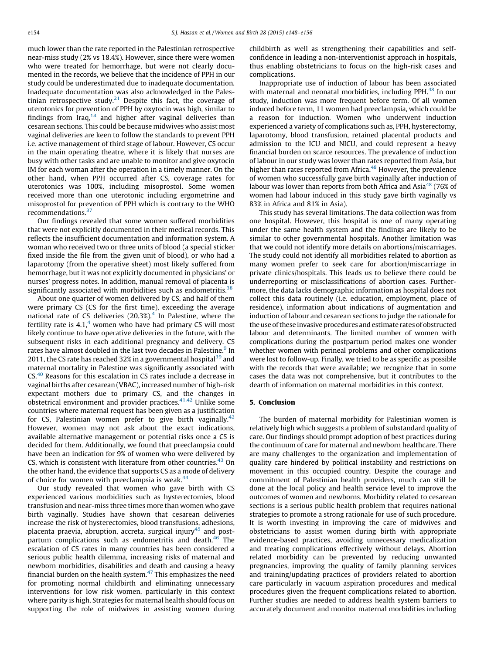much lower than the rate reported in the Palestinian retrospective near-miss study (2% vs 18.4%). However, since there were women who were treated for hemorrhage, but were not clearly documented in the records, we believe that the incidence of PPH in our study could be underestimated due to inadequate documentation. Inadequate documentation was also acknowledged in the Palestinian retrospective study. $21$  Despite this fact, the coverage of uterotonics for prevention of PPH by oxytocin was high, similar to findings from Iraq, $14$  and higher after vaginal deliveries than cesarean sections. This could be because midwives who assist most vaginal deliveries are keen to follow the standards to prevent PPH i.e. active management of third stage of labour. However, CS occur in the main operating theatre, where it is likely that nurses are busy with other tasks and are unable to monitor and give oxytocin IM for each woman after the operation in a timely manner. On the other hand, when PPH occurred after CS, coverage rates for uterotonics was 100%, including misoprostol. Some women received more than one uterotonic including ergometrine and misoprostol for prevention of PPH which is contrary to the WHO recommendations.[37](#page-7-0)

Our findings revealed that some women suffered morbidities that were not explicitly documented in their medical records. This reflects the insufficient documentation and information system. A woman who received two or three units of blood (a special sticker fixed inside the file from the given unit of blood), or who had a laparotomy (from the operative sheet) most likely suffered from hemorrhage, but it was not explicitly documented in physicians' or nurses' progress notes. In addition, manual removal of placenta is significantly associated with morbidities such as endometritis. $38$ 

About one quarter of women delivered by CS, and half of them were primary CS (CS for the first time), exceeding the average national rate of CS deliveries (20.3%).<sup>4</sup> In Palestine, where the fertility rate is [4](#page-7-0).1,<sup>4</sup> women who have had primary CS will most likely continue to have operative deliveries in the future, with the subsequent risks in each additional pregnancy and delivery. CS rates have almost doubled in the last two decades in Palestine.<sup>[9](#page-7-0)</sup> In 2011, the CS rate has reached 32% in a governmental hospital<sup>[39](#page-8-0)</sup> and maternal mortality in Palestine was significantly associated with CS.[40](#page-8-0) Reasons for this escalation in CS rates include a decrease in vaginal births after cesarean (VBAC), increased number of high-risk expectant mothers due to primary CS, and the changes in obstetrical environment and provider practices. $41,42$  Unlike some countries where maternal request has been given as a justification for CS, Palestinian women prefer to give birth vaginally.<sup>[42](#page-8-0)</sup> However, women may not ask about the exact indications, available alternative management or potential risks once a CS is decided for them. Additionally, we found that preeclampsia could have been an indication for 9% of women who were delivered by CS, which is consistent with literature from other countries.<sup>43</sup> On the other hand, the evidence that supports CS as a mode of delivery of choice for women with preeclampsia is weak. $44$ 

Our study revealed that women who gave birth with CS experienced various morbidities such as hysterectomies, blood transfusion and near-miss three times more than women who gave birth vaginally. Studies have shown that cesarean deliveries increase the risk of hysterectomies, blood transfusions, adhesions, placenta praevia, abruption, accreta, surgical injury<sup>[45](#page-8-0)</sup> and post-partum complications such as endometritis and death.<sup>[46](#page-8-0)</sup> The escalation of CS rates in many countries has been considered a serious public health dilemma, increasing risks of maternal and newborn morbidities, disabilities and death and causing a heavy financial burden on the health system.[47](#page-8-0) This emphasizes the need for promoting normal childbirth and eliminating unnecessary interventions for low risk women, particularly in this context where parity is high. Strategies for maternal health should focus on supporting the role of midwives in assisting women during childbirth as well as strengthening their capabilities and selfconfidence in leading a non-interventionist approach in hospitals, thus enabling obstetricians to focus on the high-risk cases and complications.

Inappropriate use of induction of labour has been associated with maternal and neonatal morbidities, including PPH.<sup>[48](#page-8-0)</sup> In our study, induction was more frequent before term. Of all women induced before term, 11 women had preeclampsia, which could be a reason for induction. Women who underwent induction experienced a variety of complications such as, PPH, hysterectomy, laparotomy, blood transfusion, retained placental products and admission to the ICU and NICU, and could represent a heavy financial burden on scarce resources. The prevalence of induction of labour in our study was lower than rates reported from Asia, but higher than rates reported from Africa.<sup>[48](#page-8-0)</sup> However, the prevalence of women who successfully gave birth vaginally after induction of labour was lower than reports from both Africa and Asia<sup>[48](#page-8-0)</sup> (76% of women had labour induced in this study gave birth vaginally vs 83% in Africa and 81% in Asia).

This study has several limitations. The data collection was from one hospital. However, this hospital is one of many operating under the same health system and the findings are likely to be similar to other governmental hospitals. Another limitation was that we could not identify more details on abortions/miscarriages. The study could not identify all morbidities related to abortion as many women prefer to seek care for abortion/miscarriage in private clinics/hospitals. This leads us to believe there could be underreporting or misclassifications of abortion cases. Furthermore, the data lacks demographic information as hospital does not collect this data routinely (i.e. education, employment, place of residence), information about indications of augmentation and induction of labour and cesarean sections to judge the rationale for the use of these invasive procedures and estimate rates of obstructed labour and determinants. The limited number of women with complications during the postpartum period makes one wonder whether women with perineal problems and other complications were lost to follow-up. Finally, we tried to be as specific as possible with the records that were available; we recognize that in some cases the data was not comprehensive, but it contributes to the dearth of information on maternal morbidities in this context.

## 5. Conclusion

The burden of maternal morbidity for Palestinian women is relatively high which suggests a problem of substandard quality of care. Our findings should prompt adoption of best practices during the continuum of care for maternal and newborn healthcare. There are many challenges to the organization and implementation of quality care hindered by political instability and restrictions on movement in this occupied country. Despite the courage and commitment of Palestinian health providers, much can still be done at the local policy and health service level to improve the outcomes of women and newborns. Morbidity related to cesarean sections is a serious public health problem that requires national strategies to promote a strong rationale for use of such procedure. It is worth investing in improving the care of midwives and obstetricians to assist women during birth with appropriate evidence-based practices, avoiding unnecessary medicalization and treating complications effectively without delays. Abortion related morbidity can be prevented by reducing unwanted pregnancies, improving the quality of family planning services and training/updating practices of providers related to abortion care particularly in vacuum aspiration procedures and medical procedures given the frequent complications related to abortion. Further studies are needed to address health system barriers to accurately document and monitor maternal morbidities including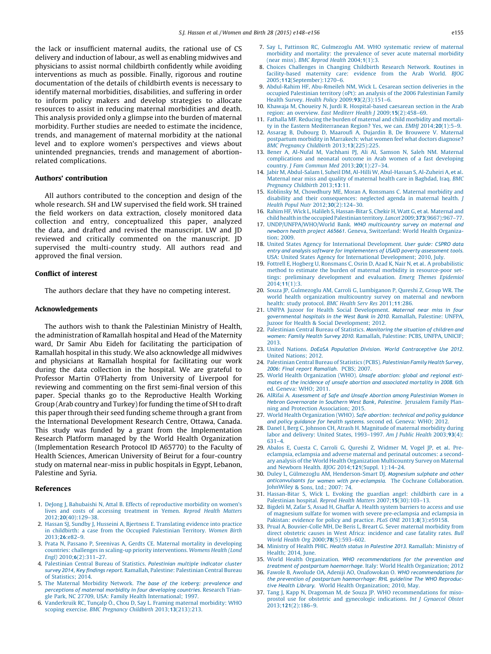<span id="page-7-0"></span>the lack or insufficient maternal audits, the rational use of CS delivery and induction of labour, as well as enabling midwives and physicians to assist normal childbirth confidently while avoiding interventions as much as possible. Finally, rigorous and routine documentation of the details of childbirth events is necessary to identify maternal morbidities, disabilities, and suffering in order to inform policy makers and develop strategies to allocate resources to assist in reducing maternal morbidities and death. This analysis provided only a glimpse into the burden of maternal morbidity. Further studies are needed to estimate the incidence, trends, and management of maternal morbidity at the national level and to explore women's perspectives and views about unintended pregnancies, trends and management of abortionrelated complications.

#### Authors' contribution

All authors contributed to the conception and design of the whole research. SH and LW supervised the field work. SH trained the field workers on data extraction, closely monitored data collection and entry, conceptualized this paper, analyzed the data, and drafted and revised the manuscript. LW and JD reviewed and critically commented on the manuscript. JD supervised the multi-country study. All authors read and approved the final version.

#### Conflict of interest

The authors declare that they have no competing interest.

#### Acknowledgements

The authors wish to thank the Palestinian Ministry of Health, the administration of Ramallah hospital and Head of the Maternity ward, Dr Samir Abu Eideh for facilitating the participation of Ramallah hospital in this study. We also acknowledge all midwives and physicians at Ramallah hospital for facilitating our work during the data collection in the hospital. We are grateful to Professor Martin O'Flaherty from University of Liverpool for reviewing and commenting on the first semi-final version of this paper. Special thanks go to the Reproductive Health Working Group (Arab country and Turkey) for funding the time of SH to draft this paper through their seed funding scheme through a grant from the International Development Research Centre, Ottawa, Canada. This study was funded by a grant from the Implementation Research Platform managed by the World Health Organization (Implementation Research Protocol ID A65770) to the Faculty of Health Sciences, American University of Beirut for a four-country study on maternal near-miss in public hospitals in Egypt, Lebanon, Palestine and Syria.

#### References

- 1. DeJong J, Bahubaishi N, Attal B. Effects of [reproductive](http://refhub.elsevier.com/S1871-5192(15)00272-3/sbref0250) morbidity on women's lives and costs of accessing [treatment](http://refhub.elsevier.com/S1871-5192(15)00272-3/sbref0250) in Yemen. Reprod Health Matters 2012;20[\(40\):129–38.](http://refhub.elsevier.com/S1871-5192(15)00272-3/sbref0250)
- 2. Hassan SJ, Sundby J, Husseini A, Bjertness E. [Translating](http://refhub.elsevier.com/S1871-5192(15)00272-3/sbref0255) evidence into practice in childbirth: a case from the Occupied [Palestinian](http://refhub.elsevier.com/S1871-5192(15)00272-3/sbref0255) Territory. Women Birth 2013;26[:e82–9.](http://refhub.elsevier.com/S1871-5192(15)00272-3/sbref0255)
- 3. Prata N, Passano P, Sreenivas A, Gerdts CE. Maternal mortality in [developing](http://refhub.elsevier.com/S1871-5192(15)00272-3/sbref0260) countries: challenges in scaling-up priority [interventions.](http://refhub.elsevier.com/S1871-5192(15)00272-3/sbref0260) Womens Health (Lond Engl) 2010;6[\(2\):311–27.](http://refhub.elsevier.com/S1871-5192(15)00272-3/sbref0260)
- 4. [Palestinian](http://refhub.elsevier.com/S1871-5192(15)00272-3/sbref0265) Central Bureau of Statistics. Palestinian multiple indicator cluster survey 2014, Key findings report. Ramallah, Palestine: [Palestinian](http://refhub.elsevier.com/S1871-5192(15)00272-3/sbref0265) Central Bureau of [Statistics;](http://refhub.elsevier.com/S1871-5192(15)00272-3/sbref0265) 201[4.](http://refhub.elsevier.com/S1871-5192(15)00272-3/sbref0265)
- 5. The Maternal Morbidity Network. The base of the iceberg: [prevalence](http://refhub.elsevier.com/S1871-5192(15)00272-3/sbref0270) and [perceptions](http://refhub.elsevier.com/S1871-5192(15)00272-3/sbref0270) of maternal morbidity in four developing countries. Research Triangle Park, NC 27709, USA: Family Health [International;](http://refhub.elsevier.com/S1871-5192(15)00272-3/sbref0270) 1997[.](http://refhub.elsevier.com/S1871-5192(15)00272-3/sbref0270)
- 6. [Vanderkruik](http://refhub.elsevier.com/S1871-5192(15)00272-3/sbref0275) RC, Tunçalp Ö., Chou D, Say L. Framing maternal [morbidity:](http://refhub.elsevier.com/S1871-5192(15)00272-3/sbref0275) WHO scoping exercise. BMC Pregnancy Childbirth 2013;13[\(213\):213.](http://refhub.elsevier.com/S1871-5192(15)00272-3/sbref0275)
- 7. Say L, Pattinson RC, [Gulmezoglu](http://refhub.elsevier.com/S1871-5192(15)00272-3/sbref0280) AM. WHO systematic review of maternal morbidity and mortality: the [prevalence](http://refhub.elsevier.com/S1871-5192(15)00272-3/sbref0280) of sever acute maternal morbidity (near miss). BMC [Reprod](http://refhub.elsevier.com/S1871-5192(15)00272-3/sbref0280) Health 2004;1(1):3.
- 8. Choices [Challenges](http://refhub.elsevier.com/S1871-5192(15)00272-3/sbref0285) in Changing Childbirth Research Network. Routines in [facility-based](http://refhub.elsevier.com/S1871-5192(15)00272-3/sbref0285) maternity care: evidence from the Arab World. BJOG 2005;112[\(September\):1270–6.](http://refhub.elsevier.com/S1871-5192(15)00272-3/sbref0285)
- 9. [Abdul-Rahim](http://refhub.elsevier.com/S1871-5192(15)00272-3/sbref0290) HF, Abu-Rmeileh NM, Wick L. Cesarean section deliveries in the occupied Palestinian territory (oPt): an analysis of the 2006 [Palestinian](http://refhub.elsevier.com/S1871-5192(15)00272-3/sbref0290) Family Health Survey. Health Policy 2009;93[\(2/3\):151–6.](http://refhub.elsevier.com/S1871-5192(15)00272-3/sbref0290)
- 10. Khawaja M, Choueiry N, Jurdi R. [Hospital-based](http://refhub.elsevier.com/S1871-5192(15)00272-3/sbref0295) caesarean section in the Arab region: an overview. East Mediterr Health J 2009;15[\(2\):458–69.](http://refhub.elsevier.com/S1871-5192(15)00272-3/sbref0295)
- 11. Fathalla MF. Reducing the burden of maternal and child [morbidity](http://refhub.elsevier.com/S1871-5192(15)00272-3/sbref0300) and mortality in the Eastern [Mediterranean](http://refhub.elsevier.com/S1871-5192(15)00272-3/sbref0300) Region? Yes, we can. EMHJ 2014;20(1):5–9.
- 12. Assarag B, Dubourg D, Maaroufi A, Dujardin B, De [Brouwere](http://refhub.elsevier.com/S1871-5192(15)00272-3/sbref0305) V. Maternal [postpartum](http://refhub.elsevier.com/S1871-5192(15)00272-3/sbref0305) morbidity in Marrakech: what women feel what doctors diagnose? BMC Pregnancy Childbirth 2013;13[\(225\):225.](http://refhub.elsevier.com/S1871-5192(15)00272-3/sbref0305)
- 13. Bener A, Al-Nufal M, [Vachhani](http://refhub.elsevier.com/S1871-5192(15)00272-3/sbref0310) PJ, Ali AI, Samson N, Saleh NM. Maternal [complications](http://refhub.elsevier.com/S1871-5192(15)00272-3/sbref0310) and neonatal outcome in Arab women of a fast developing country. J Fam Commun Med 2013;20[\(1\):27–34.](http://refhub.elsevier.com/S1871-5192(15)00272-3/sbref0310)
- 14. Jabir M, [Abdul-Salam](http://refhub.elsevier.com/S1871-5192(15)00272-3/sbref0315) I, Suheil DM, Al-Hilli W, Abul-Hassan S, Al-Zuheiri A, et al. Maternal near miss and quality of maternal health care in [Baghdad,](http://refhub.elsevier.com/S1871-5192(15)00272-3/sbref0315) Iraq. BMC [Pregnancy](http://refhub.elsevier.com/S1871-5192(15)00272-3/sbref0315) Childbirth 2013;13:11.
- 15. Koblinsky M, [Chowdhury](http://refhub.elsevier.com/S1871-5192(15)00272-3/sbref0320) ME, Moran A, Ronsmans C. Maternal morbidity and disability and their [consequences:](http://refhub.elsevier.com/S1871-5192(15)00272-3/sbref0320) neglected agenda in maternal health. J Health Popul Nutr 2012;30[\(2\):124–30.](http://refhub.elsevier.com/S1871-5192(15)00272-3/sbref0320)
- 16. Rahim HF, Wick L, Halileh S, [Hassan-Bitar](http://refhub.elsevier.com/S1871-5192(15)00272-3/sbref0325) S, Chekir H, Watt G, et al. Maternal and child health in the occupied Palestinian territory. Lancet 2009;373(9667):967-77.
- 17. [UNDP/UNFPA/WHO/World](http://refhub.elsevier.com/S1871-5192(15)00272-3/sbref0330) Bank. WHO multicountry survey on maternal and newborn health project A65661. Geneva, [Switzerland:](http://refhub.elsevier.com/S1871-5192(15)00272-3/sbref0330) World Health Organization; [2009.](http://refhub.elsevier.com/S1871-5192(15)00272-3/sbref0330)
- 18. United States Agency for International [Development.](http://refhub.elsevier.com/S1871-5192(15)00272-3/sbref0335) User guide: CSPRO data entry and analysis software for [implementers](http://refhub.elsevier.com/S1871-5192(15)00272-3/sbref0335) of USAID poverty assessment tools. USA: United States Agency for International [Development;](http://refhub.elsevier.com/S1871-5192(15)00272-3/sbref0335) 2010, Jul[y.](http://refhub.elsevier.com/S1871-5192(15)00272-3/sbref0335)
- 19. Fottrell E, Hogberg U, Ronsmans C, Osrin D, Azad K, Nair N, et al. A [probabilistic](http://refhub.elsevier.com/S1871-5192(15)00272-3/sbref0340) method to estimate the burden of maternal morbidity in [resource-poor](http://refhub.elsevier.com/S1871-5192(15)00272-3/sbref0340) settings: preliminary [development](http://refhub.elsevier.com/S1871-5192(15)00272-3/sbref0340) and evaluation. Emerg Themes Epidemiol  $2014 \cdot 11(1) \cdot 3$
- 20. Souza JP, Gulmezoglu AM, Carroli G, [Lumbiganon](http://refhub.elsevier.com/S1871-5192(15)00272-3/sbref0345) P, Qureshi Z, Group WR. The world health organization [multicountry](http://refhub.elsevier.com/S1871-5192(15)00272-3/sbref0345) survey on maternal and newborn health: study [protocol.](http://refhub.elsevier.com/S1871-5192(15)00272-3/sbref0345) BMC Health Serv Res 2011;11:286.
- 21. UNFPA Juzoor for Health Social [Development.](http://refhub.elsevier.com/S1871-5192(15)00272-3/sbref0350) Maternal near miss in four [governmental](http://refhub.elsevier.com/S1871-5192(15)00272-3/sbref0350) hospitals in the West Bank in 2010. Ramallah, Palestine: UNFPA, Juzoor for Health & Social [Development;](http://refhub.elsevier.com/S1871-5192(15)00272-3/sbref0350) 201[2.](http://refhub.elsevier.com/S1871-5192(15)00272-3/sbref0350)
- 22. [Palestinian](http://refhub.elsevier.com/S1871-5192(15)00272-3/sbref0355) Central Bureau of Statistics. Monitoring the situation of children and women: Family Health Survey 2010. [Ramallah,](http://refhub.elsevier.com/S1871-5192(15)00272-3/sbref0355) Palestine: PCBS, UNFPA, UNICIF; [2013.](http://refhub.elsevier.com/S1871-5192(15)00272-3/sbref0355)
- 23. United Nations. DoEaSA Population Division. World [Contraceptive](http://refhub.elsevier.com/S1871-5192(15)00272-3/sbref0360) Use 2012. United [Nations;](http://refhub.elsevier.com/S1871-5192(15)00272-3/sbref0360) 2012[.](http://refhub.elsevier.com/S1871-5192(15)00272-3/sbref0360)
- 24. [Palestinian](http://refhub.elsevier.com/S1871-5192(15)00272-3/sbref0365) Central Bureau of Statistics (PCBS). Palestinian Family Health Survey. 2006: Final report [Ramallah](http://refhub.elsevier.com/S1871-5192(15)00272-3/sbref0365). PCBS; 2007[.](http://refhub.elsevier.com/S1871-5192(15)00272-3/sbref0365)
- 25. World Health [Organization](http://refhub.elsevier.com/S1871-5192(15)00272-3/sbref0370) (WHO). Unsafe abortion: global and regional estimates of the incidence of unsafe abortion and [associated](http://refhub.elsevier.com/S1871-5192(15)00272-3/sbref0370) mortality in 2008. 6th ed. [Geneva:](http://refhub.elsevier.com/S1871-5192(15)00272-3/sbref0370) WHO; 201[1.](http://refhub.elsevier.com/S1871-5192(15)00272-3/sbref0370)
- 26. AlRifai A. [Assessment](http://refhub.elsevier.com/S1871-5192(15)00272-3/sbref0375) of Safe and Unsafe Abortion among Palestinian Women in Hebron [Governorate](http://refhub.elsevier.com/S1871-5192(15)00272-3/sbref0375) in Southern West Bank, Palestine. Jerusalem Family Planning and Protection [Association;](http://refhub.elsevier.com/S1871-5192(15)00272-3/sbref0375) 201[5.](http://refhub.elsevier.com/S1871-5192(15)00272-3/sbref0375)
- 27. World Health [Organization](http://refhub.elsevier.com/S1871-5192(15)00272-3/sbref0380) (WHO). Safe abortion: technical and policy guidance and policy [guidance](http://refhub.elsevier.com/S1871-5192(15)00272-3/sbref0380) for health systems. second ed. Geneva: WHO; 2012[.](http://refhub.elsevier.com/S1871-5192(15)00272-3/sbref0380)
- 28. Danel I, Berg C, Johnson CH, Atrash H. [Magnitude](http://refhub.elsevier.com/S1871-5192(15)00272-3/sbref0385) of maternal morbidity during labor and delivery: United States, [1993–1997.](http://refhub.elsevier.com/S1871-5192(15)00272-3/sbref0385) Am J Public Health 2003;93(4): [631–4.](http://refhub.elsevier.com/S1871-5192(15)00272-3/sbref0385)
- 29. Abalos E, Cuesta C, Carroli G, Qureshi Z, [Widmer](http://refhub.elsevier.com/S1871-5192(15)00272-3/sbref0390) M, Vogel JP, et al. Pre[eclampsia,](http://refhub.elsevier.com/S1871-5192(15)00272-3/sbref0390) eclampsia and adverse maternal and perinatal outcomes: a secondary analysis of the World Health Organization [Multicountry](http://refhub.elsevier.com/S1871-5192(15)00272-3/sbref0390) Survey on Maternal and Newborn Health. BJOG 2014;121(Suppl. [1\):14–24.](http://refhub.elsevier.com/S1871-5192(15)00272-3/sbref0390)
- 30. Duley L, Gülmezoglu AM, [Henderson-Smart](http://refhub.elsevier.com/S1871-5192(15)00272-3/sbref0395) DJ. Magnesium sulphate and other [anticonvulsants](http://refhub.elsevier.com/S1871-5192(15)00272-3/sbref0395) for women with pre-eclampsia. The Cochrane Collaboration. [JohnWiley](http://refhub.elsevier.com/S1871-5192(15)00272-3/sbref0395) & Sons, Ltd.; 2007: [74.](http://refhub.elsevier.com/S1871-5192(15)00272-3/sbref0395)
- 31. [Hassan-Bitar](http://refhub.elsevier.com/S1871-5192(15)00272-3/sbref0400) S, Wick L. Evoking the guardian angel: childbirth care in a Palestinian hospital. Reprod Health Matters 2007;15[\(30\):103–13.](http://refhub.elsevier.com/S1871-5192(15)00272-3/sbref0400)
- 32. Bigdeli M, Zafar S, Assad H, Ghaffar A. Health system [barriers](http://refhub.elsevier.com/S1871-5192(15)00272-3/sbref0405) to access and use of magnesium sulfate for women with severe [pre-eclampsia](http://refhub.elsevier.com/S1871-5192(15)00272-3/sbref0405) and eclampsia in Pakistan: evidence for policy and practice. PLoS ONE 2013;8[\(3\):e59158.](http://refhub.elsevier.com/S1871-5192(15)00272-3/sbref0405)
- 33. Prual A, [Bouvier-Colle](http://refhub.elsevier.com/S1871-5192(15)00272-3/sbref0410) MH, De Beris L, Breart G. Sever maternal morbidity from direct obstetric causes in West Africa: [incidence](http://refhub.elsevier.com/S1871-5192(15)00272-3/sbref0410) and case fatality rates. Bull World Health Org 2000;78[\(5\):593–602.](http://refhub.elsevier.com/S1871-5192(15)00272-3/sbref0410)
- 34. Ministry of Health PHIC. Health status in Palestine 2013. [Ramallah:](http://refhub.elsevier.com/S1871-5192(15)00272-3/sbref0415) Ministry of Health: 2014, June[.](http://refhub.elsevier.com/S1871-5192(15)00272-3/sbref0415)
- 35. World Health Organization. WHO [recommendations](http://refhub.elsevier.com/S1871-5192(15)00272-3/sbref0420) for the prevention and [t](http://refhub.elsevier.com/S1871-5192(15)00272-3/sbref0420)reatment of postpartum haemorrhage. Italy: World Health [Organization;](http://refhub.elsevier.com/S1871-5192(15)00272-3/sbref0420) 2012
- 36. Fawole B, Awolude OA, Adeniji AO, Onafowokan O. WHO [recommendations](http://refhub.elsevier.com/S1871-5192(15)00272-3/sbref0425) for the prevention of postpartum [haemorrhage:](http://refhub.elsevier.com/S1871-5192(15)00272-3/sbref0425) RHL guideline The WHO Reproductive Health Library. World Health [Organization;](http://refhub.elsevier.com/S1871-5192(15)00272-3/sbref0425) 2010, May[.](http://refhub.elsevier.com/S1871-5192(15)00272-3/sbref0425)
- 37. Tang J, Kapp N, Dragoman M, de Souza JP. WHO [recommendations](http://refhub.elsevier.com/S1871-5192(15)00272-3/sbref0430) for misoprostol use for obstetric and [gynecologic](http://refhub.elsevier.com/S1871-5192(15)00272-3/sbref0430) indications. Int J Gynaecol Obstet 2013;121[\(2\):186–9.](http://refhub.elsevier.com/S1871-5192(15)00272-3/sbref0430)